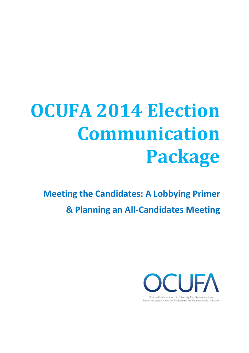# **OCUFA 2014 Election Communication Package**

**Meeting the Candidates: A Lobbying Primer & Planning an All-Candidates Meeting** 



Union des Associations des Professeurs des Universités de l'Ontario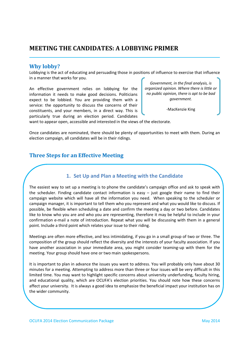# **MEETING THE CANDIDATES: A LOBBYING PRIMER**

## **Why lobby?**

Lobbying is the act of educating and persuading those in positions of influence to exercise that influence in a manner that works for you.

An effective government relies on lobbying for the information it needs to make good decisions. Politicians expect to be lobbied. You are providing them with a service: the opportunity to discuss the concerns of their constituents, and your members, in a direct way. This is particularly true during an election period. Candidates

*Government, in the final analysis, is organized opinion. Where there is little or no public opinion, there is apt to be bad government.*

-MacKenzie King

want to appear open, accessible and interested in the views of the electorate.

Once candidates are nominated, there should be plenty of opportunities to meet with them. During an election campaign, all candidates will be in their ridings.

# **Three Steps for an Effective Meeting**

## **1. Set Up and Plan a Meeting with the Candidate**

The easiest way to set up a meeting is to phone the candidate's campaign office and ask to speak with the scheduler. Finding candidate contact information is easy – just google their name to find their campaign website which will have all the information you need. When speaking to the scheduler or campaign manager, it is important to tell them who you represent and what you would like to discuss. If possible, be flexible when scheduling a date and confirm the meeting a day or two before. Candidates like to know who you are and who you are representing, therefore it may be helpful to include in your confirmation e-mail a note of introduction. Repeat what you will be discussing with them in a general point. Include a third point which relates your issue to their riding.

Meetings are often more effective, and less intimidating, if you go in a small group of two or three. The composition of the group should reflect the diversity and the interests of your faculty association. If you have another association in your immediate area, you might consider teaming-up with them for the meeting. Your group should have one or two main spokespersons.

It is important to plan in advance the issues you want to address. You will probably only have about 30 minutes for a meeting. Attempting to address more than three or four issues will be very difficult in this limited time. You may want to highlight specific concerns about university underfunding, faculty hiring, and educational quality, which are OCUFA's election priorities. You should note how these concerns affect your university. It is always a good idea to emphasize the beneficial impact your institution has on the wider community.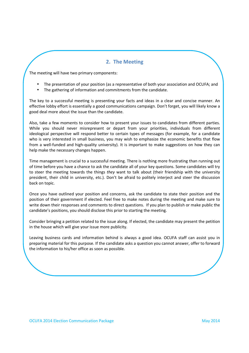## **2. The Meeting**

The meeting will have two primary components:

- The presentation of your position (as a representative of both your association and OCUFA; and
- The gathering of information and commitments from the candidate.

The key to a successful meeting is presenting your facts and ideas in a clear and concise manner. An effective lobby effort is essentially a good communications campaign. Don't forget, you will likely know a good deal more about the issue than the candidate.

Also, take a few moments to consider how to present your issues to candidates from different parties. While you should never misrepresent or depart from your priorities, individuals from different ideological perspective will respond better to certain types of messages (for example, for a candidate who is very interested in small business, you may wish to emphasize the economic benefits that flow from a well-funded and high-quality university). It is important to make suggestions on how they can help make the necessary changes happen.

Time management is crucial to a successful meeting. There is nothing more frustrating than running out of time before you have a chance to ask the candidate all of your key questions. Some candidates will try to steer the meeting towards the things *they* want to talk about (their friendship with the university president, their child in university, etc.). Don't be afraid to politely interject and steer the discussion back on topic.

Once you have outlined your position and concerns, ask the candidate to state their position and the position of their government if elected. Feel free to make notes during the meeting and make sure to write down their responses and comments to direct questions. If you plan to publish or make public the candidate's positions, you should disclose this prior to starting the meeting.

Consider bringing a petition related to the issue along. If elected, the candidate may present the petition in the house which will give your issue more publicity.

Leaving business cards and information behind is always a good idea. OCUFA staff can assist you in preparing material for this purpose. If the candidate asks a question you cannot answer, offer to forward the information to his/her office as soon as possible.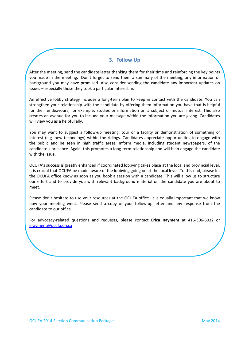## **3. Follow Up**

After the meeting, send the candidate letter thanking them for their time and reinforcing the key points you made in the meeting. Don't forget to send them a summary of the meeting, any information or background you may have promised. Also consider sending the candidate any important updates on issues – especially those they took a particular interest in.

An effective lobby strategy includes a long-term plan to keep in contact with the candidate. You can strengthen your relationship with the candidate by offering them information you have that is helpful for their endeavours, for example, studies or information on a subject of mutual interest. This also creates an avenue for you to include your message within the information you are giving. Candidates will view you as a helpful ally.

You may want to suggest a follow-up meeting, tour of a facility or demonstration of something of interest (e.g. new technology) within the ridings. Candidates appreciate opportunities to engage with the public and be seen in high traffic areas. Inform media, including student newspapers, of the candidate's presence. Again, this promotes a long-term relationship and will help engage the candidate with the issue.

OCUFA's success is greatly enhanced if coordinated lobbying takes place at the local and provincial level. It is crucial that OCUFA be made aware of the lobbying going on at the local level. To this end, please let the OCUFA office know as soon as you book a session with a candidate. This will allow us to structure our effort and to provide you with relevant background material on the candidate you are about to meet.

Please don't hesitate to use your resources at the OCUFA office. It is equally important that we know how your meeting went. Please send a copy of your follow-up letter and any response from the candidate to our office.

For advocacy-related questions and requests, please contact **Erica Rayment** at 416-306-6032 or erayment@ocufa.on.ca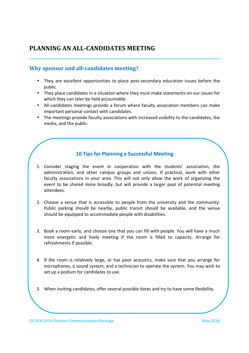# **PLANNING AN ALL-CANDIDATES MEETING**

# **Why sponsor and all-candidates meeting?**

- They are excellent opportunities to place post-secondary education issues before the public.
- They place candidates in a situation where they must make statements on our issues for which they can later be held accountable.
- All-candidates meetings provide a forum where faculty association members can make important personal contact with candidates.
- The meetings provide faculty associations with increased visibility to the candidates, the media, and the public.

# **10 Tips for Planning a Successful Meeting**

- 1. Consider staging the event in cooperation with the students' association, the administration, and other campus groups and unions. If practical, work with other faculty associations in your area. This will not only allow the work of organizing the event to be shared more broadly, but will provide a larger pool of potential meeting attendees.
- 2. Choose a venue that is accessible to people from the university and the community. Public parking should be nearby, public transit should be available, and the venue should be equipped to accommodate people with disabilities.
- 3. Book a room early, and choose one that you can fill with people. You will have a much more energetic and lively meeting if the room is filled to capacity. Arrange for refreshments if possible.
- 4. If the room is relatively large, or has poor acoustics, make sure that you arrange for microphones, a sound system, and a technician to operate the system. You may wish to set up a podium for candidates to use.
- 5. When inviting candidates, offer several possible dates and try to have some flexibility.